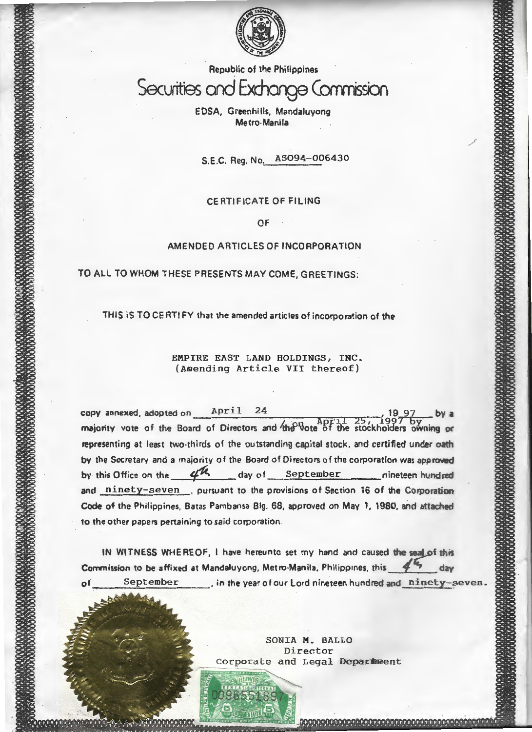

Republic of the Philippines Securities and Exchange Corrmission

> E DSA, Green hi lis, Mandaluyong Metro-Manila

s.E.C. Reg. No. AS094-006430

.<br>J

# CERTIFICATE OF FILING

OF

### AMENDED ARTICLES OF INCORPORATION

TO ALL TO WHOM THESE PRESENTS MAY COME, GREETINGS:

THIS IS TO CERTIFY that the amended articles of incorporation of the

EMPIRE EAST LAND HOLDINGS, INC. (Amending Article VII thereof)

 $copy$  annexed, adopted on  $April 24$ majority vote of the Board of Directors and the vote of the stockholders owning or representing at least two-thirds of the outstanding capital stock. and certified under oath by the Secretary and a majority of the Board of Directors of the corporation was approved by this Office on the 4th day of September nineteen hundred and ninety-seven . pursuant to the provisions of Section 16 of the Corporation Code of the Philippines, Batas Pambansa Big. 68, approved on May 1, 1980. and attached to the other papers pertaining to said corporation.

IN WITNESS WHEREOF, I have hereunto set my hand and caused the seal of this Commission to be affixed at Mandaluyong, Metro-Manila, Philippines, this  $\frac{4}{3}$  day September . in the year of our Lord nineteen hundred and ninety-seven.

> SONIA M. BALLO Director Corporate and Legal Deparmment